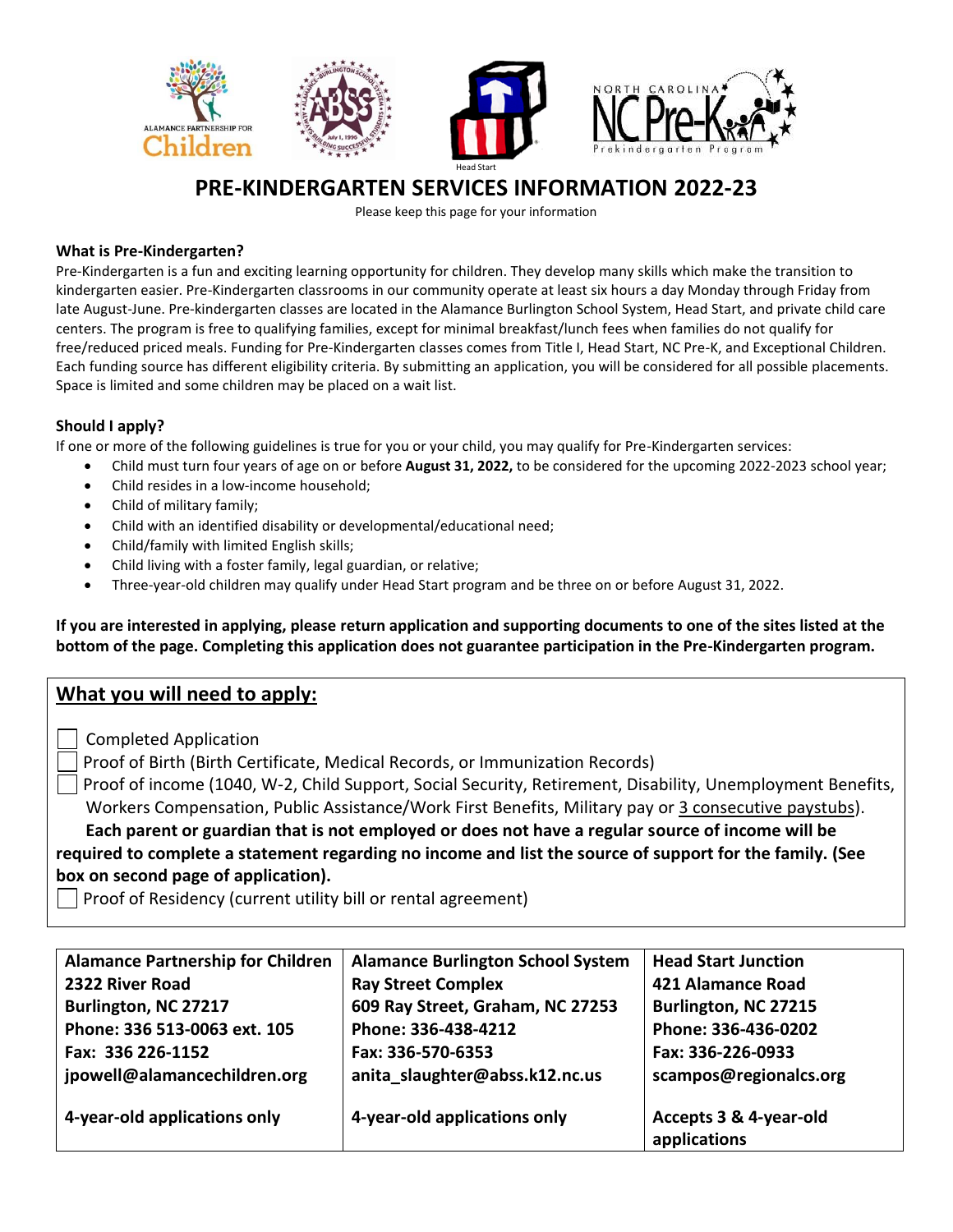

# **PRE-KINDERGARTEN SERVICES INFORMATION 2022-23**

Please keep this page for your information

## **What is Pre-Kindergarten?**

Pre-Kindergarten is a fun and exciting learning opportunity for children. They develop many skills which make the transition to kindergarten easier. Pre-Kindergarten classrooms in our community operate at least six hours a day Monday through Friday from late August-June. Pre-kindergarten classes are located in the Alamance Burlington School System, Head Start, and private child care centers. The program is free to qualifying families, except for minimal breakfast/lunch fees when families do not qualify for free/reduced priced meals. Funding for Pre-Kindergarten classes comes from Title I, Head Start, NC Pre-K, and Exceptional Children. Each funding source has different eligibility criteria. By submitting an application, you will be considered for all possible placements. Space is limited and some children may be placed on a wait list.

## **Should I apply?**

If one or more of the following guidelines is true for you or your child, you may qualify for Pre-Kindergarten services:

- Child must turn four years of age on or before **August 31, 2022,** to be considered for the upcoming 2022-2023 school year;
- Child resides in a low-income household;
- Child of military family;
- Child with an identified disability or developmental/educational need;
- Child/family with limited English skills;
- Child living with a foster family, legal guardian, or relative;
- Three-year-old children may qualify under Head Start program and be three on or before August 31, 2022.

**If you are interested in applying, please return application and supporting documents to one of the sites listed at the bottom of the page. Completing this application does not guarantee participation in the Pre-Kindergarten program.** 

# **What you will need to apply:**

- Completed Application
- Proof of Birth (Birth Certificate, Medical Records, or Immunization Records)

Proof of income (1040, W-2, Child Support, Social Security, Retirement, Disability, Unemployment Benefits, Workers Compensation, Public Assistance/Work First Benefits, Military pay or 3 consecutive paystubs).

 **Each parent or guardian that is not employed or does not have a regular source of income will be required to complete a statement regarding no income and list the source of support for the family. (See box on second page of application).** 

 $\Box$  Proof of Residency (current utility bill or rental agreement)

| <b>Alamance Partnership for Children</b> | <b>Alamance Burlington School System</b> | <b>Head Start Junction</b> |
|------------------------------------------|------------------------------------------|----------------------------|
| 2322 River Road                          | <b>Ray Street Complex</b>                | 421 Alamance Road          |
| Burlington, NC 27217                     | 609 Ray Street, Graham, NC 27253         | Burlington, NC 27215       |
| Phone: 336 513-0063 ext. 105             | Phone: 336-438-4212                      | Phone: 336-436-0202        |
| Fax: 336 226-1152                        | Fax: 336-570-6353                        | Fax: 336-226-0933          |
| jpowell@alamancechildren.org             | anita slaughter@abss.k12.nc.us           | scampos@regionalcs.org     |
|                                          |                                          |                            |
| 4-year-old applications only             | 4-year-old applications only             | Accepts 3 & 4-year-old     |
|                                          |                                          | applications               |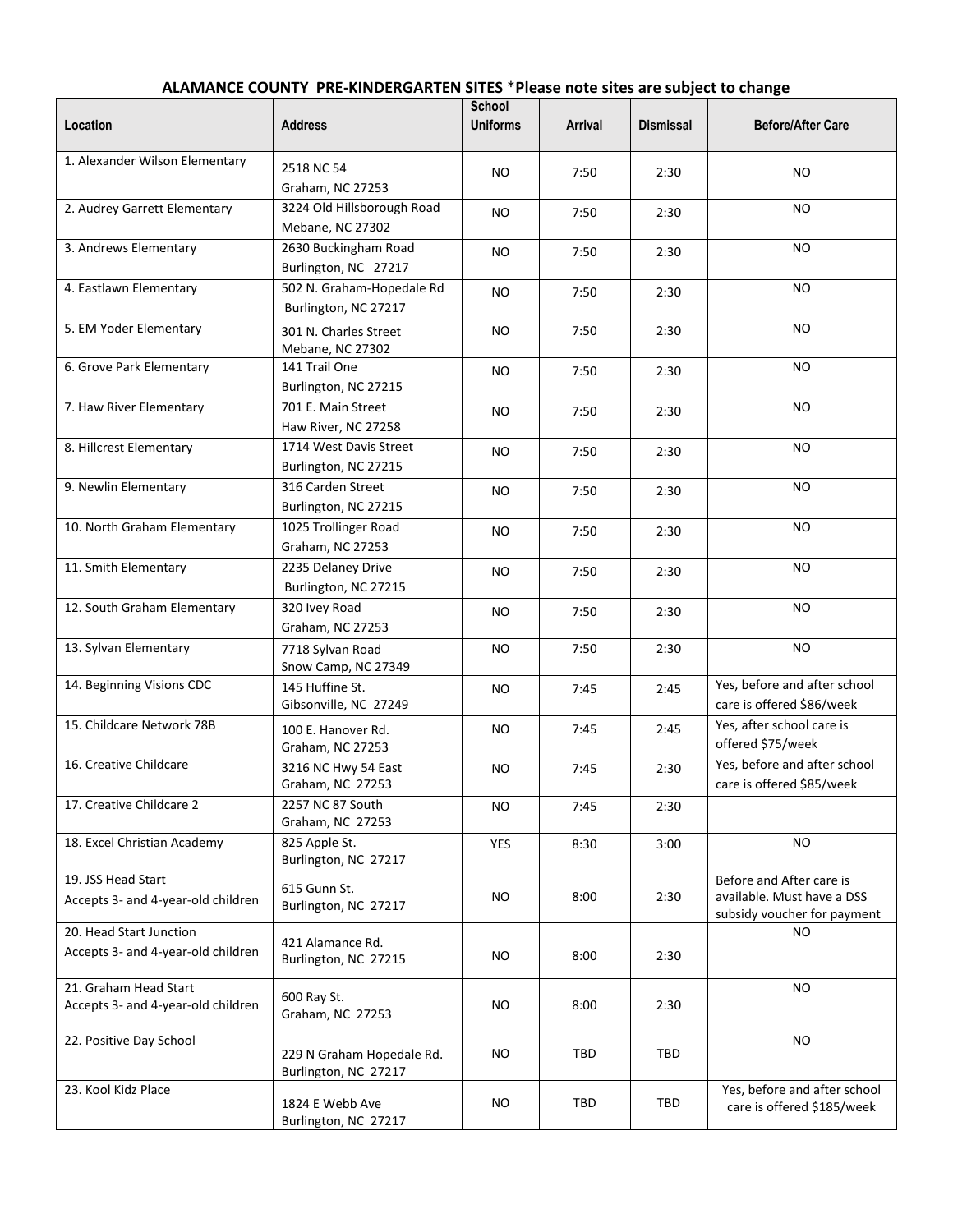| Location                                                       | <b>Address</b>                                    | School<br><b>Uniforms</b> | Arrival | <b>Dismissal</b> | <b>Before/After Care</b>                                                              |  |
|----------------------------------------------------------------|---------------------------------------------------|---------------------------|---------|------------------|---------------------------------------------------------------------------------------|--|
| 1. Alexander Wilson Elementary                                 | 2518 NC 54<br>Graham, NC 27253                    | <b>NO</b>                 | 7:50    | 2:30             | <b>NO</b>                                                                             |  |
| 2. Audrey Garrett Elementary                                   | 3224 Old Hillsborough Road<br>Mebane, NC 27302    | <b>NO</b>                 | 7:50    | 2:30             | NO.                                                                                   |  |
| 3. Andrews Elementary                                          | 2630 Buckingham Road<br>Burlington, NC 27217      | <b>NO</b>                 | 7:50    | 2:30             | <b>NO</b>                                                                             |  |
| 4. Eastlawn Elementary                                         | 502 N. Graham-Hopedale Rd<br>Burlington, NC 27217 | NO.                       | 7:50    | 2:30             | <b>NO</b>                                                                             |  |
| 5. EM Yoder Elementary                                         | 301 N. Charles Street<br>Mebane, NC 27302         | <b>NO</b>                 | 7:50    | 2:30             | NO                                                                                    |  |
| 6. Grove Park Elementary                                       | 141 Trail One<br>Burlington, NC 27215             | <b>NO</b>                 | 7:50    | 2:30             | NO                                                                                    |  |
| 7. Haw River Elementary                                        | 701 E. Main Street<br>Haw River, NC 27258         | <b>NO</b>                 | 7:50    | 2:30             | <b>NO</b>                                                                             |  |
| 8. Hillcrest Elementary                                        | 1714 West Davis Street<br>Burlington, NC 27215    | <b>NO</b>                 | 7:50    | 2:30             | <b>NO</b>                                                                             |  |
| 9. Newlin Elementary                                           | 316 Carden Street<br>Burlington, NC 27215         | <b>NO</b>                 | 7:50    | 2:30             | NO                                                                                    |  |
| 10. North Graham Elementary                                    | 1025 Trollinger Road<br>Graham, NC 27253          | <b>NO</b>                 | 7:50    | 2:30             | <b>NO</b>                                                                             |  |
| 11. Smith Elementary                                           | 2235 Delaney Drive<br>Burlington, NC 27215        | <b>NO</b>                 | 7:50    | 2:30             | NO.                                                                                   |  |
| 12. South Graham Elementary                                    | 320 Ivey Road<br>Graham, NC 27253                 | <b>NO</b>                 | 7:50    | 2:30             | <b>NO</b>                                                                             |  |
| 13. Sylvan Elementary                                          | 7718 Sylvan Road<br>Snow Camp, NC 27349           | <b>NO</b>                 | 7:50    | 2:30             | <b>NO</b>                                                                             |  |
| 14. Beginning Visions CDC                                      | 145 Huffine St.<br>Gibsonville, NC 27249          | <b>NO</b>                 | 7:45    | 2:45             | Yes, before and after school<br>care is offered \$86/week                             |  |
| 15. Childcare Network 78B                                      | 100 E. Hanover Rd.<br>Graham, NC 27253            | NO.                       | 7:45    | 2:45             | Yes, after school care is<br>offered \$75/week                                        |  |
| 16. Creative Childcare                                         | 3216 NC Hwy 54 East<br>Graham, NC 27253           | <b>NO</b>                 | 7:45    | 2:30             | Yes, before and after school<br>care is offered \$85/week                             |  |
| 17. Creative Childcare 2                                       | 2257 NC 87 South<br>Graham, NC 27253              | <b>NO</b>                 | 7:45    | 2:30             |                                                                                       |  |
| 18. Excel Christian Academy                                    | 825 Apple St.<br>Burlington, NC 27217             | <b>YES</b>                | 8:30    | 3:00             | NO                                                                                    |  |
| 19. JSS Head Start<br>Accepts 3- and 4-year-old children       | 615 Gunn St.<br>Burlington, NC 27217              | NO.                       | 8:00    | 2:30             | Before and After care is<br>available. Must have a DSS<br>subsidy voucher for payment |  |
| 20. Head Start Junction<br>Accepts 3- and 4-year-old children  | 421 Alamance Rd.<br>Burlington, NC 27215          | NO.                       | 8:00    | 2:30             | NO.                                                                                   |  |
| 21. Graham Head Start<br>Accepts 3- and 4-year-old children    | 600 Ray St.<br>Graham, NC 27253                   | <b>NO</b>                 | 8:00    | 2:30             | NO                                                                                    |  |
| 22. Positive Day School                                        | 229 N Graham Hopedale Rd.<br>Burlington, NC 27217 | NO.                       | TBD     | TBD              | NO                                                                                    |  |
| 23. Kool Kidz Place<br>1824 E Webb Ave<br>Burlington, NC 27217 |                                                   | NO.                       | TBD     | TBD              | Yes, before and after school<br>care is offered \$185/week                            |  |

## **ALAMANCE COUNTY PRE-KINDERGARTEN SITES** \***Please note sites are subject to change**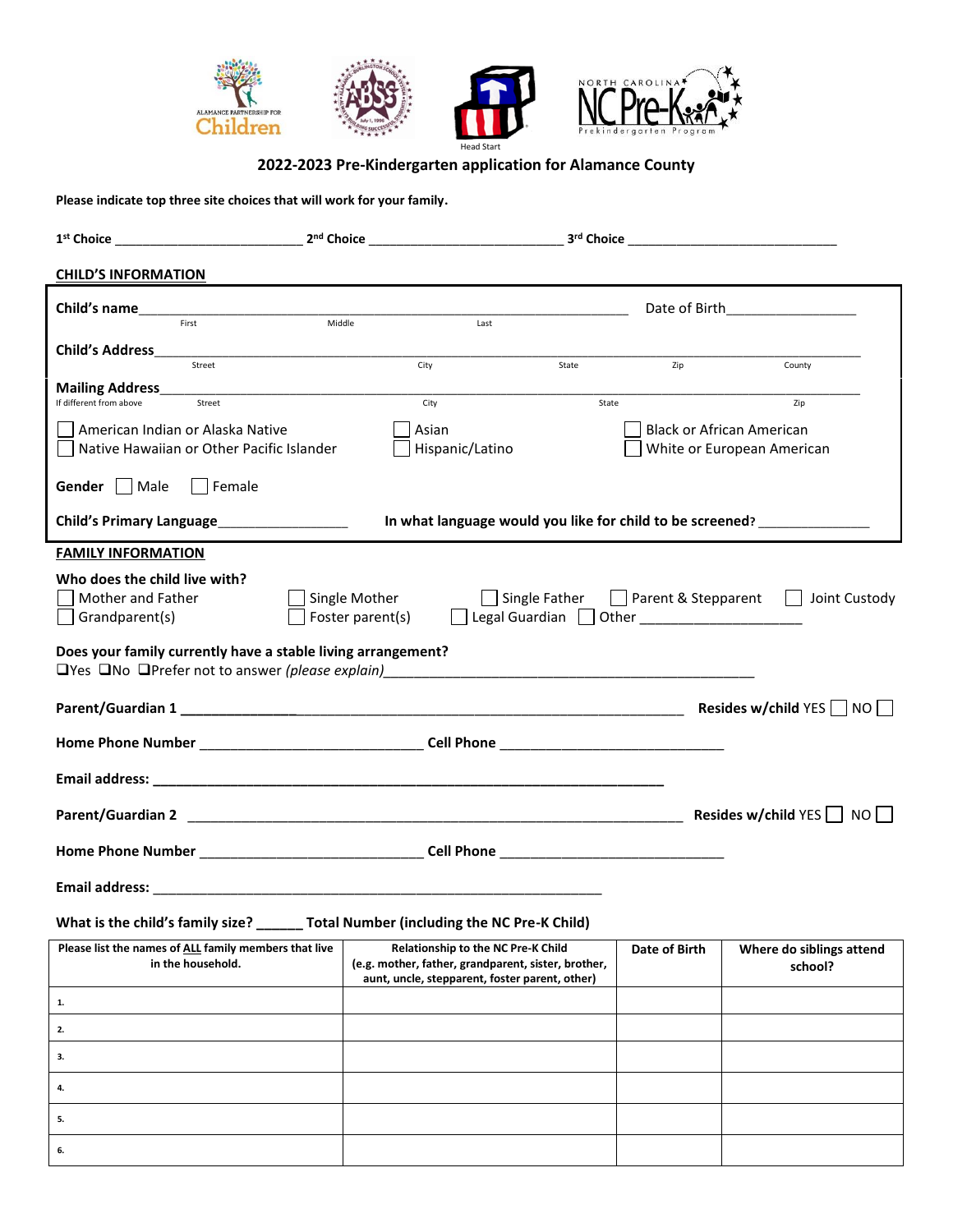

# **2022-2023 Pre-Kindergarten application for Alamance County**

**Please indicate top three site choices that will work for your family.**

**3.**

**4.**

**5. 6.**

| 2 <sup>nd</sup> Choice<br>1 <sup>st</sup> Choice                                                                                                                                               |                                                                                                                                             | 3rd Choice_ |                      |                                                                           |  |  |  |
|------------------------------------------------------------------------------------------------------------------------------------------------------------------------------------------------|---------------------------------------------------------------------------------------------------------------------------------------------|-------------|----------------------|---------------------------------------------------------------------------|--|--|--|
| <b>CHILD'S INFORMATION</b>                                                                                                                                                                     |                                                                                                                                             |             |                      |                                                                           |  |  |  |
| Child's name                                                                                                                                                                                   |                                                                                                                                             |             |                      | Date of Birth <b>Exercise 2018</b>                                        |  |  |  |
| Middle<br>First                                                                                                                                                                                | Last                                                                                                                                        |             |                      |                                                                           |  |  |  |
| <b>Child's Address</b><br>Street                                                                                                                                                               | City                                                                                                                                        | State       | Zip                  | County                                                                    |  |  |  |
|                                                                                                                                                                                                |                                                                                                                                             |             |                      |                                                                           |  |  |  |
| <b>Mailing Address_</b><br>If different from above<br>Street                                                                                                                                   | City                                                                                                                                        | State       |                      | Zip                                                                       |  |  |  |
| American Indian or Alaska Native                                                                                                                                                               | Asian                                                                                                                                       |             |                      | <b>Black or African American</b>                                          |  |  |  |
| Native Hawaiian or Other Pacific Islander                                                                                                                                                      | Hispanic/Latino                                                                                                                             |             |                      | White or European American                                                |  |  |  |
| Gender     Male<br>Female                                                                                                                                                                      |                                                                                                                                             |             |                      |                                                                           |  |  |  |
| Child's Primary Language____________________                                                                                                                                                   |                                                                                                                                             |             |                      | In what language would you like for child to be screened? _______________ |  |  |  |
| <b>FAMILY INFORMATION</b>                                                                                                                                                                      |                                                                                                                                             |             |                      |                                                                           |  |  |  |
| Who does the child live with?<br>Mother and Father<br>Single Mother<br>Single Father<br>Parent & Stepparent<br>Joint Custody<br>$\Box$<br>Legal Guardian<br>Foster parent(s)<br>Grandparent(s) |                                                                                                                                             |             |                      |                                                                           |  |  |  |
| Does your family currently have a stable living arrangement?<br>$\Box$ Yes $\Box$ No $\Box$ Prefer not to answer (please explain)                                                              |                                                                                                                                             |             |                      |                                                                           |  |  |  |
| Resides w/child YES $\Box$ NO $\Box$                                                                                                                                                           |                                                                                                                                             |             |                      |                                                                           |  |  |  |
|                                                                                                                                                                                                |                                                                                                                                             |             |                      |                                                                           |  |  |  |
|                                                                                                                                                                                                |                                                                                                                                             |             |                      |                                                                           |  |  |  |
| Resides w/child YES NO                                                                                                                                                                         |                                                                                                                                             |             |                      |                                                                           |  |  |  |
|                                                                                                                                                                                                |                                                                                                                                             |             |                      |                                                                           |  |  |  |
|                                                                                                                                                                                                |                                                                                                                                             |             |                      |                                                                           |  |  |  |
| What is the child's family size? ______ Total Number (including the NC Pre-K Child)                                                                                                            |                                                                                                                                             |             |                      |                                                                           |  |  |  |
| Please list the names of ALL family members that live<br>in the household.                                                                                                                     | Relationship to the NC Pre-K Child<br>(e.g. mother, father, grandparent, sister, brother,<br>aunt, uncle, stepparent, foster parent, other) |             | <b>Date of Birth</b> | Where do siblings attend<br>school?                                       |  |  |  |
| 1.                                                                                                                                                                                             |                                                                                                                                             |             |                      |                                                                           |  |  |  |
| 2.                                                                                                                                                                                             |                                                                                                                                             |             |                      |                                                                           |  |  |  |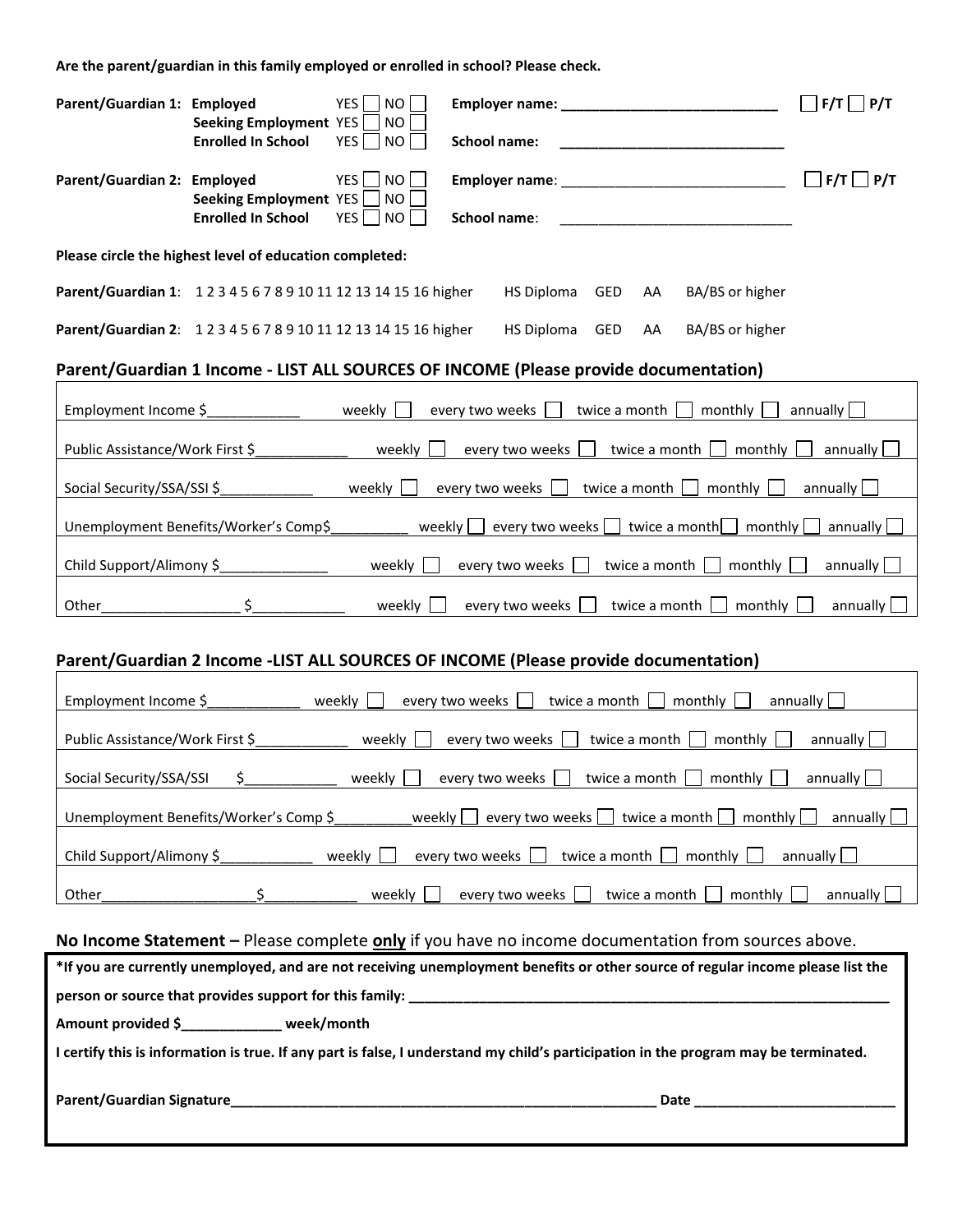**Are the parent/guardian in this family employed or enrolled in school? Please check.**

| YES  <br>Parent/Guardian 1: Employed<br>Seeking Employment YES                                                                       | NO<br><b>NO</b>                                                                      | $F/T$ $\Box$ $P/T$    |  |  |  |  |  |
|--------------------------------------------------------------------------------------------------------------------------------------|--------------------------------------------------------------------------------------|-----------------------|--|--|--|--|--|
| YES<br><b>Enrolled In School</b>                                                                                                     | NO<br><b>School name:</b>                                                            |                       |  |  |  |  |  |
| <b>YES</b><br>Parent/Guardian 2: Employed<br>Seeking Employment YES                                                                  | NO<br><b>NO</b>                                                                      | $\Box$ F/T $\Box$ P/T |  |  |  |  |  |
| <b>Enrolled In School</b><br>YES                                                                                                     | NO<br>School name:<br><u> 1980 - Jan Barbara, martin a</u>                           |                       |  |  |  |  |  |
| Please circle the highest level of education completed:                                                                              |                                                                                      |                       |  |  |  |  |  |
| Parent/Guardian 1: 12345678910111213141516 higher                                                                                    | GED<br>BA/BS or higher<br>HS Diploma<br>AA                                           |                       |  |  |  |  |  |
| Parent/Guardian 2: 12345678910111213141516 higher                                                                                    | <b>HS Diploma</b><br>GED<br>BA/BS or higher<br>AA                                    |                       |  |  |  |  |  |
|                                                                                                                                      | Parent/Guardian 1 Income - LIST ALL SOURCES OF INCOME (Please provide documentation) |                       |  |  |  |  |  |
| <b>Example 2</b> Weekly<br>Employment Income \$                                                                                      | every two weeks<br>twice a month<br>monthly                                          | annually              |  |  |  |  |  |
| Public Assistance/Work First \$                                                                                                      | weekly<br>every two weeks<br>twice a month<br>monthly                                | annually              |  |  |  |  |  |
| Social Security/SSA/SSI \$<br>weekly $\Box$                                                                                          | every two weeks<br>twice a month [<br>monthly                                        | annually              |  |  |  |  |  |
| Unemployment Benefits/Worker's Comp\$                                                                                                | weekly  <br>every two weeks [<br>twice a month<br>monthly                            | annually              |  |  |  |  |  |
| Child Support/Alimony \$______________                                                                                               | weekly<br>every two weeks<br>twice a month<br>monthly                                | annually              |  |  |  |  |  |
| Other_                                                                                                                               | weekly $\Box$<br>every two weeks<br>twice a month $ $<br>monthly                     | annually $\Box$       |  |  |  |  |  |
|                                                                                                                                      | Parent/Guardian 2 Income -LIST ALL SOURCES OF INCOME (Please provide documentation)  |                       |  |  |  |  |  |
| Employment Income \$ weekly                                                                                                          | every two weeks<br>twice a month<br>monthly                                          | annually              |  |  |  |  |  |
| Public Assistance/Work First \$<br>weekly                                                                                            | every two weeks<br>twice a month<br>monthly                                          | annually $\Box$       |  |  |  |  |  |
| annually $\boxed{\phantom{a}}$<br>Social Security/SSA/SSI<br>\$.<br>weekly  <br>every two weeks<br>twice a month<br>monthly          |                                                                                      |                       |  |  |  |  |  |
| Unemployment Benefits/Worker's Comp \$<br>every two weeks<br>twice a month<br>monthly<br>weekly<br>annually                          |                                                                                      |                       |  |  |  |  |  |
| Child Support/Alimony \$<br>weekly<br>every two weeks<br>twice a month<br>monthly<br>annually                                        |                                                                                      |                       |  |  |  |  |  |
| Other                                                                                                                                | weekly<br>every two weeks<br>twice a month<br>monthly                                | annually              |  |  |  |  |  |
| No Income Statement - Please complete only if you have no income documentation from sources above.                                   |                                                                                      |                       |  |  |  |  |  |
| *If you are currently unemployed, and are not receiving unemployment benefits or other source of regular income please list the      |                                                                                      |                       |  |  |  |  |  |
|                                                                                                                                      |                                                                                      |                       |  |  |  |  |  |
| Amount provided \$____________ week/month                                                                                            |                                                                                      |                       |  |  |  |  |  |
| I certify this is information is true. If any part is false, I understand my child's participation in the program may be terminated. |                                                                                      |                       |  |  |  |  |  |
| Parent/Guardian Signature<br><u> 1980 - Johann Barn, mars eta biztanleria (h. 1980).</u><br>Date                                     |                                                                                      |                       |  |  |  |  |  |